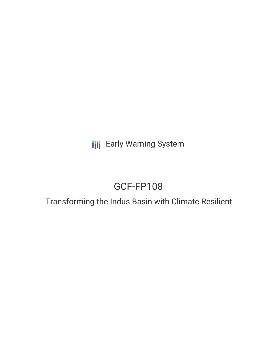**III** Early Warning System

# GCF-FP108

## Transforming the Indus Basin with Climate Resilient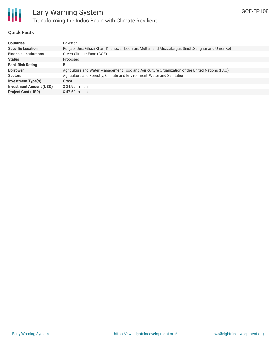

#### **Quick Facts**

| <b>Countries</b>               | Pakistan                                                                                       |
|--------------------------------|------------------------------------------------------------------------------------------------|
| <b>Specific Location</b>       | Punjab: Dera Ghazi Khan, Khanewal, Lodhran, Multan and Muzzafargar; Sindh:Sanghar and Umer Kot |
| <b>Financial Institutions</b>  | Green Climate Fund (GCF)                                                                       |
| <b>Status</b>                  | Proposed                                                                                       |
| <b>Bank Risk Rating</b>        | B                                                                                              |
| <b>Borrower</b>                | Agriculture and Water Management Food and Agriculture Organization of the United Nations (FAO) |
| <b>Sectors</b>                 | Agriculture and Forestry, Climate and Environment, Water and Sanitation                        |
| <b>Investment Type(s)</b>      | Grant                                                                                          |
| <b>Investment Amount (USD)</b> | $$34.99$ million                                                                               |
| <b>Project Cost (USD)</b>      | $$47.69$ million                                                                               |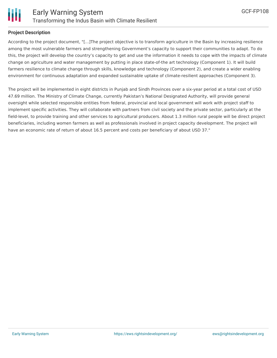

#### **Project Description**

According to the project document, "[...]The project objective is to transform agriculture in the Basin by increasing resilience among the most vulnerable farmers and strengthening Government's capacity to support their communities to adapt. To do this, the project will develop the country's capacity to get and use the information it needs to cope with the impacts of climate change on agriculture and water management by putting in place state-of-the art technology (Component 1). It will build farmers resilience to climate change through skills, knowledge and technology (Component 2), and create a wider enabling environment for continuous adaptation and expanded sustainable uptake of climate-resilient approaches (Component 3).

The project will be implemented in eight districts in Punjab and Sindh Provinces over a six-year period at a total cost of USD 47.69 million. The Ministry of Climate Change, currently Pakistan's National Designated Authority, will provide general oversight while selected responsible entities from federal, provincial and local government will work with project staff to implement specific activities. They will collaborate with partners from civil society and the private sector, particularly at the field-level, to provide training and other services to agricultural producers. About 1.3 million rural people will be direct project beneficiaries, including women farmers as well as professionals involved in project capacity development. The project will have an economic rate of return of about 16.5 percent and costs per beneficiary of about USD 37."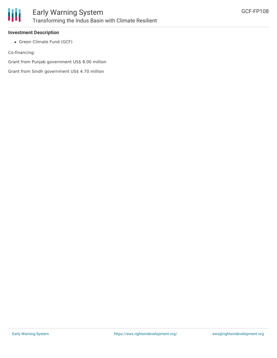

#### **Investment Description**

Green Climate Fund (GCF)

Co-financing:

Grant from Punjab government US\$ 8.00 million

Grant from Sindh government US\$ 4.70 million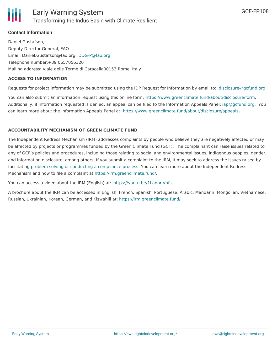

#### **Contact Information**

Daniel Gustafson, Deputy Director General, FAO Email: Daniel.Gustafson@fao.org; [DDG-P@fao.org](mailto:DDG-P@fao.org) Telephone number:+39 0657056320 Mailing address: Viale delle Terme di Caracalla00153 Rome, Italy

#### **ACCESS TO INFORMATION**

Requests for project information may be submitted using the IDP Request for Information by email to: [disclosure@gcfund.org](mailto:disclosure@gcfund.org).

You can also submit an information request using this online form: <https://www.greenclimate.fund/about/disclosure/form>. Additionally, if information requested is denied, an appeal can be filed to the Information Appeals Panel: [iap@gcfund.org](mailto:iap@gcfund.org). You can learn more about the Information Appeals Panel at: <https://www.greenclimate.fund/about/disclosure/appeals>**.**

#### **ACCOUNTABILITY MECHANISM OF GREEN CLIMATE FUND**

The Independent Redress Mechanism (IRM) addresses complaints by people who believe they are negatively affected or may be affected by projects or programmes funded by the Green Climate Fund (GCF). The complainant can raise issues related to any of GCF's policies and procedures, including those relating to social and environmental issues, indigenous peoples, gender, and information disclosure, among others. If you submit a complaint to the IRM, it may seek to address the issues raised by facilitating problem solving or conducting a [compliance](https://irm.greenclimate.fund/about-the-irm/how-we-work) process. You can learn more about the Independent Redress Mechanism and how to file a complaint at <https://irm.greenclimate.fund/>.

You can access a video about the IRM (English) at: <https://youtu.be/1LanbriVhfs>.

A brochure about the IRM can be accessed in English, French, Spanish, Portuguese, Arabic, Mandarin, Mongolian, Vietnamese, Russian, Ukrainian, Korean, German, and Kiswahili at: <https://irm.greenclimate.fund/>.